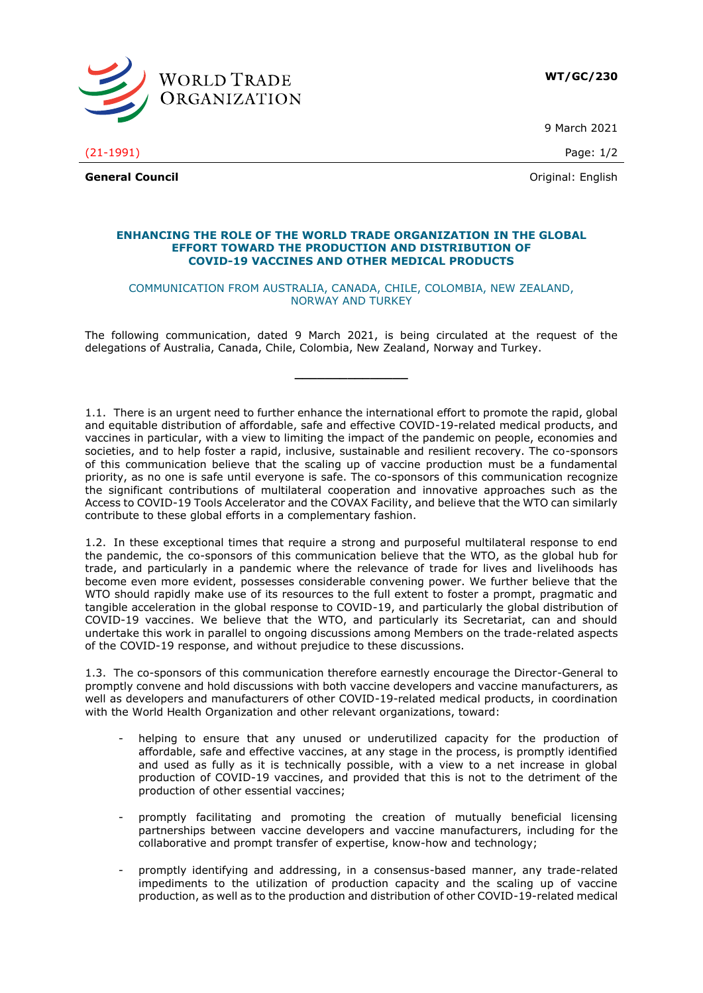

9 March 2021

(21-1991) Page: 1/2

**General Council** Community Council Council Council Council Council Council Council Council Council Council Council Council Council Council Council Council Council Council Council Council Council Council Council Council Co

## **ENHANCING THE ROLE OF THE WORLD TRADE ORGANIZATION IN THE GLOBAL EFFORT TOWARD THE PRODUCTION AND DISTRIBUTION OF COVID-19 VACCINES AND OTHER MEDICAL PRODUCTS**

## COMMUNICATION FROM AUSTRALIA, CANADA, CHILE, COLOMBIA, NEW ZEALAND, NORWAY AND TURKEY

The following communication, dated 9 March 2021, is being circulated at the request of the delegations of Australia, Canada, Chile, Colombia, New Zealand, Norway and Turkey.

**\_\_\_\_\_\_\_\_\_\_\_\_\_\_\_**

1.1. There is an urgent need to further enhance the international effort to promote the rapid, global and equitable distribution of affordable, safe and effective COVID-19-related medical products, and vaccines in particular, with a view to limiting the impact of the pandemic on people, economies and societies, and to help foster a rapid, inclusive, sustainable and resilient recovery. The co-sponsors of this communication believe that the scaling up of vaccine production must be a fundamental priority, as no one is safe until everyone is safe. The co-sponsors of this communication recognize the significant contributions of multilateral cooperation and innovative approaches such as the Access to COVID-19 Tools Accelerator and the COVAX Facility, and believe that the WTO can similarly contribute to these global efforts in a complementary fashion.

1.2. In these exceptional times that require a strong and purposeful multilateral response to end the pandemic, the co-sponsors of this communication believe that the WTO, as the global hub for trade, and particularly in a pandemic where the relevance of trade for lives and livelihoods has become even more evident, possesses considerable convening power. We further believe that the WTO should rapidly make use of its resources to the full extent to foster a prompt, pragmatic and tangible acceleration in the global response to COVID-19, and particularly the global distribution of COVID-19 vaccines. We believe that the WTO, and particularly its Secretariat, can and should undertake this work in parallel to ongoing discussions among Members on the trade-related aspects of the COVID-19 response, and without prejudice to these discussions.

1.3. The co-sponsors of this communication therefore earnestly encourage the Director-General to promptly convene and hold discussions with both vaccine developers and vaccine manufacturers, as well as developers and manufacturers of other COVID-19-related medical products, in coordination with the World Health Organization and other relevant organizations, toward:

- helping to ensure that any unused or underutilized capacity for the production of affordable, safe and effective vaccines, at any stage in the process, is promptly identified and used as fully as it is technically possible, with a view to a net increase in global production of COVID-19 vaccines, and provided that this is not to the detriment of the production of other essential vaccines;
- promptly facilitating and promoting the creation of mutually beneficial licensing partnerships between vaccine developers and vaccine manufacturers, including for the collaborative and prompt transfer of expertise, know-how and technology;
- promptly identifying and addressing, in a consensus-based manner, any trade-related impediments to the utilization of production capacity and the scaling up of vaccine production, as well as to the production and distribution of other COVID-19-related medical